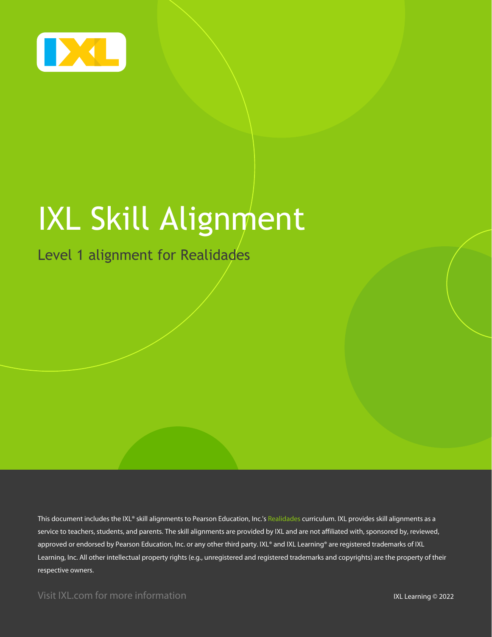

# IXL Skill Alignment

Level 1 alignment for Realidades

This document includes the IXL® skill alignments to Pearson Education, Inc.'s Realidades curriculum. IXL provides skill alignments as a service to teachers, students, and parents. The skill alignments are provided by IXL and are not affiliated with, sponsored by, reviewed, approved or endorsed by Pearson Education, Inc. or any other third party. IXL® and IXL Learning® are registered trademarks of IXL Learning, Inc. All other intellectual property rights (e.g., unregistered and registered trademarks and copyrights) are the property of their respective owners.

Visit IXL.com for more information **IXL Learning © 2022**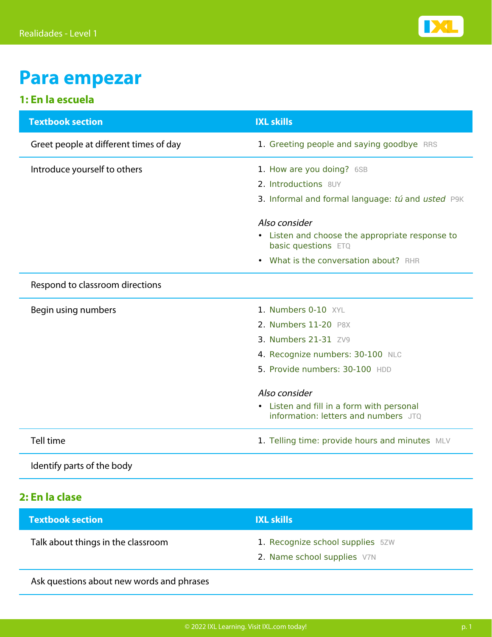

### **Para empezar**

### **1: En la escuela**

| <b>Textbook section</b>                | <b>IXL skills</b>                                                                 |
|----------------------------------------|-----------------------------------------------------------------------------------|
| Greet people at different times of day | 1. Greeting people and saying goodbye RRS                                         |
| Introduce yourself to others           | 1. How are you doing? 6SB                                                         |
|                                        | 2. Introductions 8UY                                                              |
|                                        | 3. Informal and formal language: tú and usted P9K                                 |
|                                        | Also consider                                                                     |
|                                        | • Listen and choose the appropriate response to<br>basic questions ETQ            |
|                                        | What is the conversation about? RHR<br>$\bullet$                                  |
| Respond to classroom directions        |                                                                                   |
| Begin using numbers                    | 1. Numbers 0-10 XYL                                                               |
|                                        | 2. Numbers 11-20 P8X                                                              |
|                                        | 3. Numbers 21-31 ZV9                                                              |
|                                        | 4. Recognize numbers: 30-100 NLC                                                  |
|                                        | 5. Provide numbers: 30-100 HDD                                                    |
|                                        | Also consider                                                                     |
|                                        | • Listen and fill in a form with personal<br>information: letters and numbers JTO |
| Tell time                              | 1. Telling time: provide hours and minutes MLV                                    |

Identify parts of the body

#### **2: En la clase**

| <b>Textbook section</b>                   | <b>IXL skills</b>                |
|-------------------------------------------|----------------------------------|
| Talk about things in the classroom        | 1. Recognize school supplies 5ZW |
|                                           | 2. Name school supplies V7N      |
| Ask questions about new words and phrases |                                  |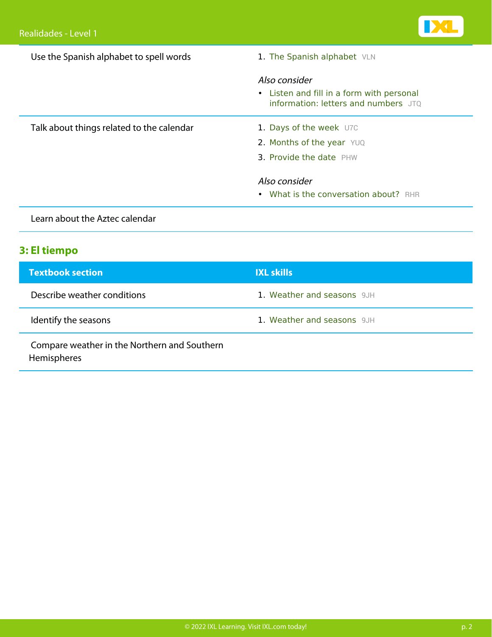| Use the Spanish alphabet to spell words   | 1. The Spanish alphabet VLN                                                                        |  |
|-------------------------------------------|----------------------------------------------------------------------------------------------------|--|
|                                           | Also consider<br>• Listen and fill in a form with personal<br>information: letters and numbers JTQ |  |
| Talk about things related to the calendar | 1. Days of the week U7C                                                                            |  |
|                                           | 2. Months of the year YUQ                                                                          |  |
|                                           | 3. Provide the date PHW                                                                            |  |
|                                           | Also consider                                                                                      |  |
|                                           | • What is the conversation about? RHR                                                              |  |
| Learn about the Aztec calendar            |                                                                                                    |  |

### **3: El tiempo**

| <b>Textbook section</b>                                     | <b>IXL skills</b>          |
|-------------------------------------------------------------|----------------------------|
| Describe weather conditions                                 | 1. Weather and seasons 9JH |
| Identify the seasons                                        | 1. Weather and seasons 9JH |
| Compare weather in the Northern and Southern<br>Hemispheres |                            |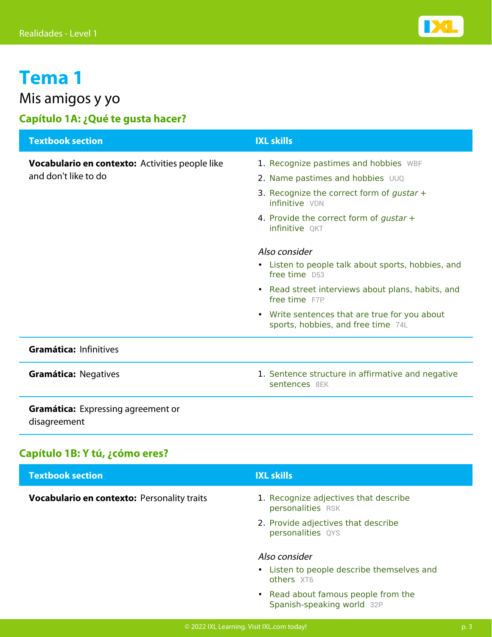

### Mis amigos y yo

### **Capítulo 1A: ¿Qué te gusta hacer?**

| <b>Textbook section</b>                                   | <b>IXL skills</b>                                                                              |
|-----------------------------------------------------------|------------------------------------------------------------------------------------------------|
| Vocabulario en contexto: Activities people like           | 1. Recognize pastimes and hobbies WBF                                                          |
| and don't like to do                                      | 2. Name pastimes and hobbies UUQ                                                               |
|                                                           | 3. Recognize the correct form of gustar $+$<br>infinitive VDN                                  |
|                                                           | 4. Provide the correct form of gustar $+$<br><b>infinitive OKT</b>                             |
|                                                           | Also consider                                                                                  |
|                                                           | • Listen to people talk about sports, hobbies, and<br>free time D53                            |
|                                                           | • Read street interviews about plans, habits, and<br>free time F7P                             |
|                                                           | Write sentences that are true for you about<br>$\bullet$<br>sports, hobbies, and free time 74L |
| Gramática: Infinitives                                    |                                                                                                |
| <b>Gramática: Negatives</b>                               | 1. Sentence structure in affirmative and negative<br>sentences 8FK                             |
| <b>Gramática:</b> Expressing agreement or<br>disagreement |                                                                                                |
|                                                           |                                                                                                |

### **Capítulo 1B: Y tú, ¿cómo eres?**

| <b>Textbook section</b>                     | <b>IXL skills</b>                                                         |
|---------------------------------------------|---------------------------------------------------------------------------|
| Vocabulario en contexto: Personality traits | 1. Recognize adjectives that describe<br>personalities RSK                |
|                                             | 2. Provide adjectives that describe<br>personalities QYS                  |
|                                             | Also consider<br>• Listen to people describe themselves and<br>others XT6 |
|                                             | • Read about famous people from the<br>Spanish-speaking world 32P         |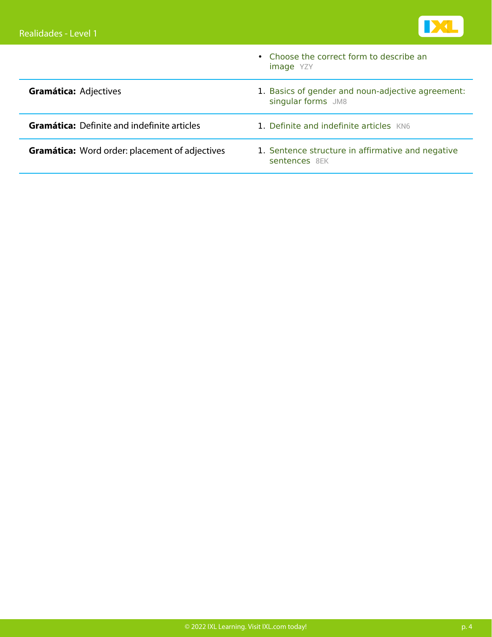

|                                                       | • Choose the correct form to describe an<br><b>image</b> YZY            |
|-------------------------------------------------------|-------------------------------------------------------------------------|
| <b>Gramática: Adjectives</b>                          | 1. Basics of gender and noun-adjective agreement:<br>singular forms JM8 |
| <b>Gramática:</b> Definite and indefinite articles    | 1. Definite and indefinite articles KN6                                 |
| <b>Gramática:</b> Word order: placement of adjectives | 1. Sentence structure in affirmative and negative<br>sentences 8EK      |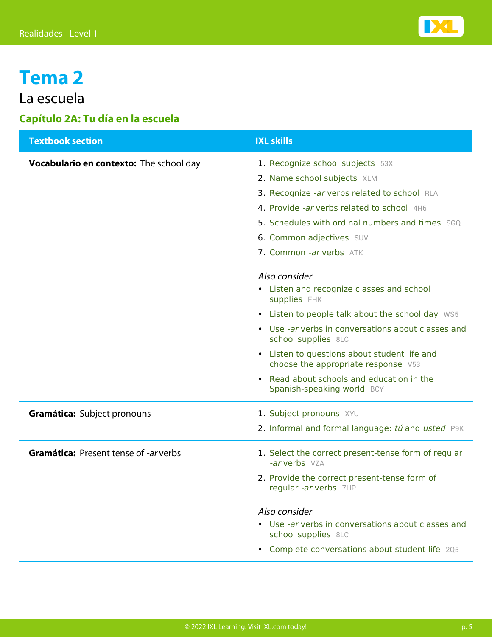

### La escuela

### **Capítulo 2A: Tu día en la escuela**

| <b>Textbook section</b>                        | <b>IXL skills</b>                                                                   |
|------------------------------------------------|-------------------------------------------------------------------------------------|
| <b>Vocabulario en contexto:</b> The school day | 1. Recognize school subjects 53X                                                    |
|                                                | 2. Name school subjects XLM                                                         |
|                                                | 3. Recognize -ar verbs related to school RLA                                        |
|                                                | 4. Provide -ar verbs related to school 4H6                                          |
|                                                | 5. Schedules with ordinal numbers and times SGQ                                     |
|                                                | 6. Common adjectives SUV                                                            |
|                                                | 7. Common -ar verbs ATK                                                             |
|                                                | Also consider                                                                       |
|                                                | • Listen and recognize classes and school<br>supplies FHK                           |
|                                                | • Listen to people talk about the school day WS5                                    |
|                                                | • Use -ar verbs in conversations about classes and<br>school supplies 8LC           |
|                                                | • Listen to questions about student life and<br>choose the appropriate response V53 |
|                                                | Read about schools and education in the<br>$\bullet$<br>Spanish-speaking world BCY  |
| Gramática: Subject pronouns                    | 1. Subject pronouns XYU                                                             |
|                                                | 2. Informal and formal language: tú and usted P9K                                   |
| <b>Gramática: Present tense of -ar verbs</b>   | 1. Select the correct present-tense form of regular<br>-ar verbs VZA                |
|                                                | 2. Provide the correct present-tense form of<br>regular -ar verbs 7HP               |
|                                                | Also consider                                                                       |
|                                                | Use -ar verbs in conversations about classes and<br>school supplies 8LC             |
|                                                | Complete conversations about student life 205<br>$\bullet$                          |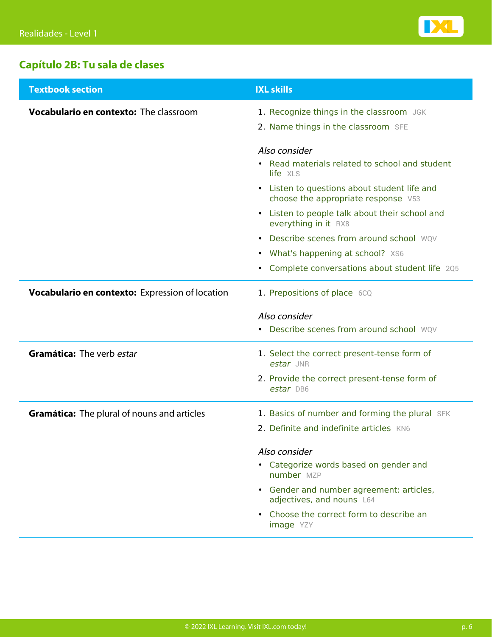

### **Capítulo 2B: Tu sala de clases**

| <b>Textbook section</b>                                | <b>IXL skills</b>                                                                   |
|--------------------------------------------------------|-------------------------------------------------------------------------------------|
| <b>Vocabulario en contexto:</b> The classroom          | 1. Recognize things in the classroom JGK                                            |
|                                                        | 2. Name things in the classroom SFE                                                 |
|                                                        | Also consider                                                                       |
|                                                        | • Read materials related to school and student<br>life XLS                          |
|                                                        | • Listen to questions about student life and<br>choose the appropriate response V53 |
|                                                        | • Listen to people talk about their school and<br>everything in it RX8              |
|                                                        | Describe scenes from around school WOV                                              |
|                                                        | • What's happening at school? XS6                                                   |
|                                                        | • Complete conversations about student life 205                                     |
| <b>Vocabulario en contexto:</b> Expression of location | 1. Prepositions of place 6CQ                                                        |
|                                                        | Also consider                                                                       |
|                                                        | • Describe scenes from around school WQV                                            |
| Gramática: The verb estar                              | 1. Select the correct present-tense form of<br>estar JNR                            |
|                                                        | 2. Provide the correct present-tense form of<br>estar DB6                           |
| <b>Gramática:</b> The plural of nouns and articles     | 1. Basics of number and forming the plural SFK                                      |
|                                                        | 2. Definite and indefinite articles KN6                                             |
|                                                        | Also consider                                                                       |
|                                                        | • Categorize words based on gender and<br>number MZP                                |
|                                                        | • Gender and number agreement: articles,                                            |
|                                                        | adjectives, and nouns L64                                                           |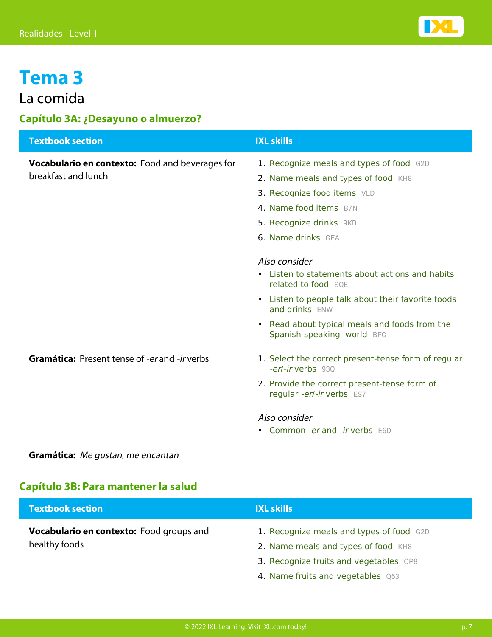

### La comida

#### **Capítulo 3A: ¿Desayuno o almuerzo?**

| <b>Textbook section</b>                                | <b>IXL skills</b>                                                               |
|--------------------------------------------------------|---------------------------------------------------------------------------------|
| <b>Vocabulario en contexto:</b> Food and beverages for | 1. Recognize meals and types of food G2D                                        |
| breakfast and lunch                                    | 2. Name meals and types of food KH8                                             |
|                                                        | 3. Recognize food items VLD                                                     |
|                                                        | 4. Name food items B7N                                                          |
|                                                        | 5. Recognize drinks 9KR                                                         |
|                                                        | <b>6. Name drinks</b> GEA                                                       |
|                                                        |                                                                                 |
|                                                        | Also consider<br>Listen to statements about actions and habits                  |
|                                                        | related to food SOE                                                             |
|                                                        | Listen to people talk about their favorite foods<br>$\bullet$<br>and drinks ENW |
|                                                        | • Read about typical meals and foods from the<br>Spanish-speaking world BFC     |
| <b>Gramática:</b> Present tense of -er and -ir verbs   | 1. Select the correct present-tense form of regular<br>-erl-ir verbs 930        |
|                                                        | 2. Provide the correct present-tense form of<br>regular -er/-ir verbs ES7       |
|                                                        | Also consider                                                                   |
|                                                        | • Common -er and -ir verbs E6D                                                  |
|                                                        |                                                                                 |

**Gramática:** Me gustan, me encantan

#### **Capítulo 3B: Para mantener la salud**

| <b>Textbook section</b>                  | <b>IXL skills</b>                        |
|------------------------------------------|------------------------------------------|
| Vocabulario en contexto: Food groups and | 1. Recognize meals and types of food G2D |
| healthy foods                            | 2. Name meals and types of food KH8      |
|                                          | 3. Recognize fruits and vegetables QP8   |
|                                          | 4. Name fruits and vegetables Q53        |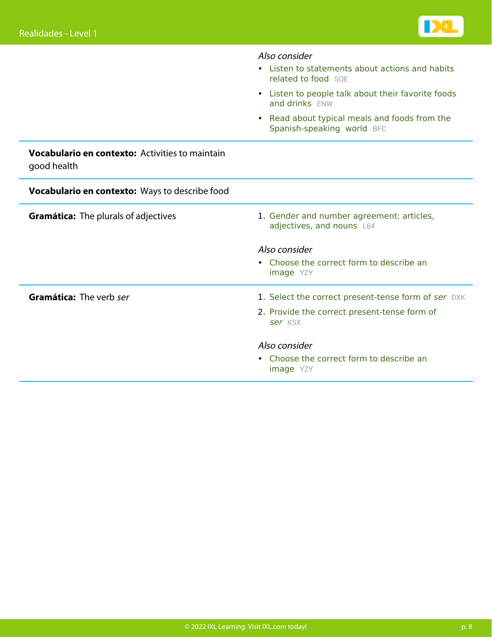

|                                                                       | Also consider                                                                   |
|-----------------------------------------------------------------------|---------------------------------------------------------------------------------|
|                                                                       | • Listen to statements about actions and habits<br>related to food SOE          |
|                                                                       | Listen to people talk about their favorite foods<br>$\bullet$<br>and drinks ENW |
|                                                                       | Read about typical meals and foods from the<br>Spanish-speaking world BFC       |
| <b>Vocabulario en contexto:</b> Activities to maintain<br>good health |                                                                                 |
| Vocabulario en contexto: Ways to describe food                        |                                                                                 |
| <b>Gramática:</b> The plurals of adjectives                           | 1. Gender and number agreement: articles,<br>adjectives, and nouns L64          |
|                                                                       | Also consider                                                                   |
|                                                                       | • Choose the correct form to describe an<br>image YZY                           |
| Gramática: The verb ser                                               | 1. Select the correct present-tense form of ser DXK                             |
|                                                                       | 2. Provide the correct present-tense form of<br>ser KSX                         |
|                                                                       | Also consider                                                                   |
|                                                                       | • Choose the correct form to describe an<br><b>image</b> YZY                    |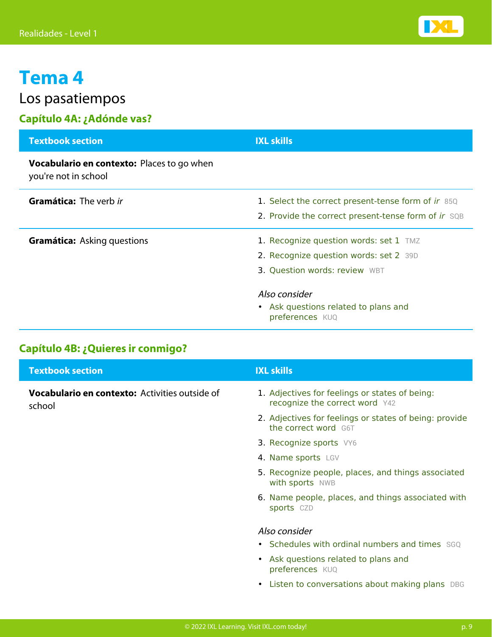

Los pasatiempos

### **Capítulo 4A: ¿Adónde vas?**

| <b>Textbook section</b>                                                   | <b>IXL skills</b>                                                                                                 |
|---------------------------------------------------------------------------|-------------------------------------------------------------------------------------------------------------------|
| <b>Vocabulario en contexto:</b> Places to go when<br>you're not in school |                                                                                                                   |
| <b>Gramática:</b> The verb ir                                             | 1. Select the correct present-tense form of ir 85Q<br>2. Provide the correct present-tense form of ir SQB         |
| <b>Gramática:</b> Asking questions                                        | 1. Recognize question words: set 1 TMZ<br>2. Recognize question words: set 2 39D<br>3. Question words: review WBT |
|                                                                           | Also consider<br>• Ask questions related to plans and<br>preferences KUQ                                          |

### **Capítulo 4B: ¿Quieres ir conmigo?**

| <b>Textbook section</b>                                  | <b>IXL skills</b>                                                                |
|----------------------------------------------------------|----------------------------------------------------------------------------------|
| Vocabulario en contexto: Activities outside of<br>school | 1. Adjectives for feelings or states of being:<br>recognize the correct word Y42 |
|                                                          | 2. Adjectives for feelings or states of being: provide<br>the correct word G6T   |
|                                                          | 3. Recognize sports VY6                                                          |
|                                                          | 4. Name sports LGV                                                               |
|                                                          | 5. Recognize people, places, and things associated<br>with sports NWB            |
|                                                          | 6. Name people, places, and things associated with<br>sports CZD                 |
|                                                          | Also consider                                                                    |
|                                                          | • Schedules with ordinal numbers and times SGO                                   |
|                                                          | • Ask questions related to plans and<br>preferences KUQ                          |
|                                                          | • Listen to conversations about making plans DBG                                 |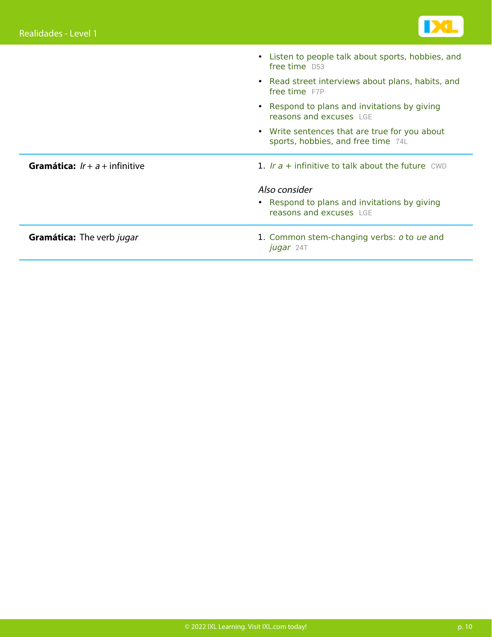

|                                         | • Listen to people talk about sports, hobbies, and<br>free time D53                 |
|-----------------------------------------|-------------------------------------------------------------------------------------|
|                                         | • Read street interviews about plans, habits, and<br>free time F7P                  |
|                                         | • Respond to plans and invitations by giving<br>reasons and excuses LGE             |
|                                         | • Write sentences that are true for you about<br>sports, hobbies, and free time 74L |
| <b>Gramática:</b> $Ir + a +$ infinitive | 1. Ir $a +$ infinitive to talk about the future CWD                                 |
|                                         | Also consider                                                                       |
|                                         | • Respond to plans and invitations by giving<br>reasons and excuses LGE             |
| <b>Gramática:</b> The verb jugar        | 1. Common stem-changing verbs: o to ue and<br>jugar 24T                             |
|                                         |                                                                                     |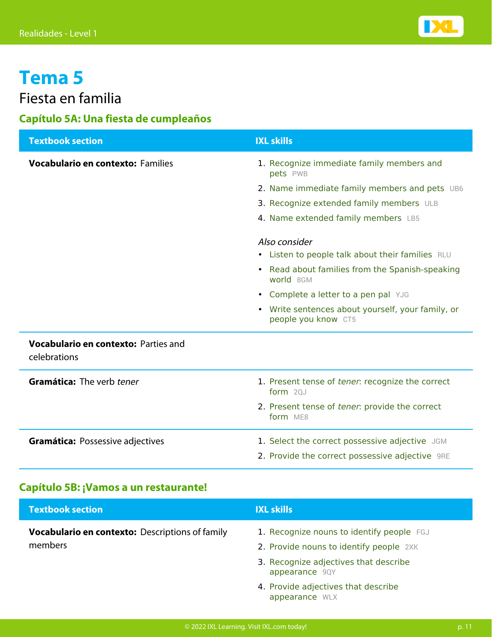

### Fiesta en familia

### **Capítulo 5A: Una fiesta de cumpleaños**

| <b>Textbook section</b>                              | <b>IXL skills</b>                                                        |
|------------------------------------------------------|--------------------------------------------------------------------------|
| <b>Vocabulario en contexto: Families</b>             | 1. Recognize immediate family members and<br>pets PWB                    |
|                                                      | 2. Name immediate family members and pets UB6                            |
|                                                      | 3. Recognize extended family members ULB                                 |
|                                                      | 4. Name extended family members LB5                                      |
|                                                      | Also consider                                                            |
|                                                      | • Listen to people talk about their families RLU                         |
|                                                      | • Read about families from the Spanish-speaking<br>world 8GM             |
|                                                      | • Complete a letter to a pen pal YJG                                     |
|                                                      | • Write sentences about yourself, your family, or<br>people you know CT5 |
| Vocabulario en contexto: Parties and<br>celebrations |                                                                          |
| Gramática: The verb tener                            | 1. Present tense of tener: recognize the correct<br>form $20J$           |
|                                                      | 2. Present tense of tener: provide the correct<br>form ME8               |
| Gramática: Possessive adjectives                     | 1. Select the correct possessive adjective JGM                           |
|                                                      | 2. Provide the correct possessive adjective 9RE                          |

### **Capítulo 5B: ¡Vamos a un restaurante!**

| <b>Textbook section</b>                                           | <b>IXL skills</b>                                                                    |
|-------------------------------------------------------------------|--------------------------------------------------------------------------------------|
| <b>Vocabulario en contexto:</b> Descriptions of family<br>members | 1. Recognize nouns to identify people FGJ<br>2. Provide nouns to identify people 2XK |
|                                                                   | 3. Recognize adjectives that describe<br>appearance 9QY                              |
|                                                                   | 4. Provide adjectives that describe<br>appearance WLX                                |